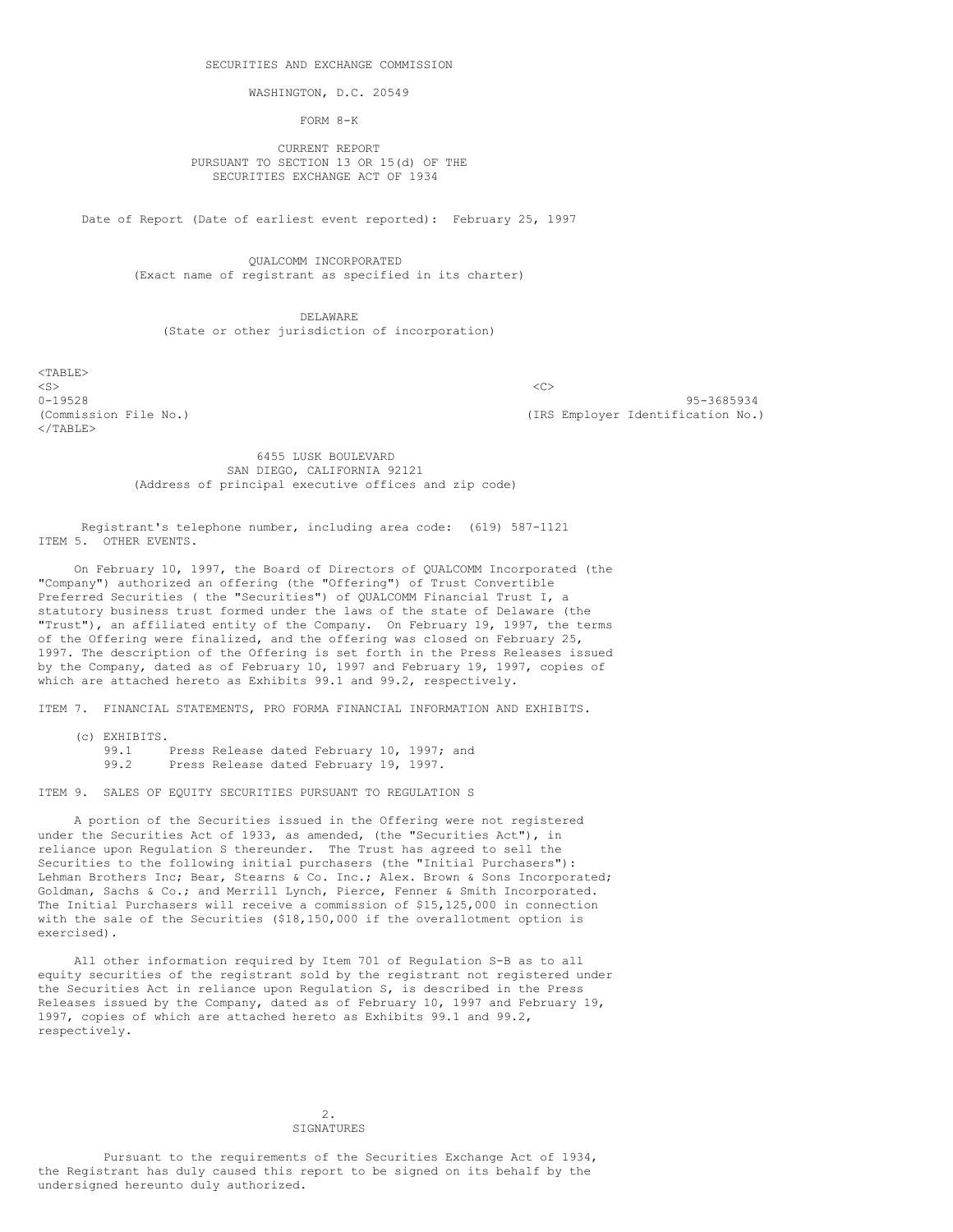WASHINGTON, D.C. 20549

FORM 8-K

CURRENT REPORT PURSUANT TO SECTION 13 OR 15(d) OF THE SECURITIES EXCHANGE ACT OF 1934

Date of Report (Date of earliest event reported): February 25, 1997

QUALCOMM INCORPORATED (Exact name of registrant as specified in its charter)

DELAWARE (State or other jurisdiction of incorporation)

 $<$ TABLE>  $\langle$ S>  $\langle$ C>  $\langle$ /TABLE>

0-19528 95-3685934 (Commission File No.) (IRS Employer Identification No.)

> 6455 LUSK BOULEVARD SAN DIEGO, CALIFORNIA 92121 (Address of principal executive offices and zip code)

Registrant's telephone number, including area code: (619) 587-1121 ITEM 5. OTHER EVENTS.

On February 10, 1997, the Board of Directors of QUALCOMM Incorporated (the "Company") authorized an offering (the "Offering") of Trust Convertible Preferred Securities ( the "Securities") of QUALCOMM Financial Trust I, a statutory business trust formed under the laws of the state of Delaware (the "Trust"), an affiliated entity of the Company. On February 19, 1997, the terms of the Offering were finalized, and the offering was closed on February 25, 1997. The description of the Offering is set forth in the Press Releases issued by the Company, dated as of February 10, 1997 and February 19, 1997, copies of which are attached hereto as Exhibits 99.1 and 99.2, respectively.

ITEM 7. FINANCIAL STATEMENTS, PRO FORMA FINANCIAL INFORMATION AND EXHIBITS.

(c) EXHIBITS. 99.1 Press Release dated February 10, 1997; and<br>99.2 Press Release dated February 19, 1997. Press Release dated February 19, 1997.

ITEM 9. SALES OF EQUITY SECURITIES PURSUANT TO REGULATION S

A portion of the Securities issued in the Offering were not registered under the Securities Act of 1933, as amended, (the "Securities Act"), in reliance upon Regulation S thereunder. The Trust has agreed to sell the Securities to the following initial purchasers (the "Initial Purchasers"): Lehman Brothers Inc; Bear, Stearns & Co. Inc.; Alex. Brown & Sons Incorporated; Goldman, Sachs & Co.; and Merrill Lynch, Pierce, Fenner & Smith Incorporated. The Initial Purchasers will receive a commission of \$15,125,000 in connection with the sale of the Securities (\$18,150,000 if the overallotment option is exercised).

All other information required by Item 701 of Regulation S-B as to all equity securities of the registrant sold by the registrant not registered under the Securities Act in reliance upon Regulation S, is described in the Press Releases issued by the Company, dated as of February 10, 1997 and February 19, 1997, copies of which are attached hereto as Exhibits 99.1 and 99.2, respectively.

> 2. SIGNATURES

Pursuant to the requirements of the Securities Exchange Act of 1934, the Registrant has duly caused this report to be signed on its behalf by the undersigned hereunto duly authorized.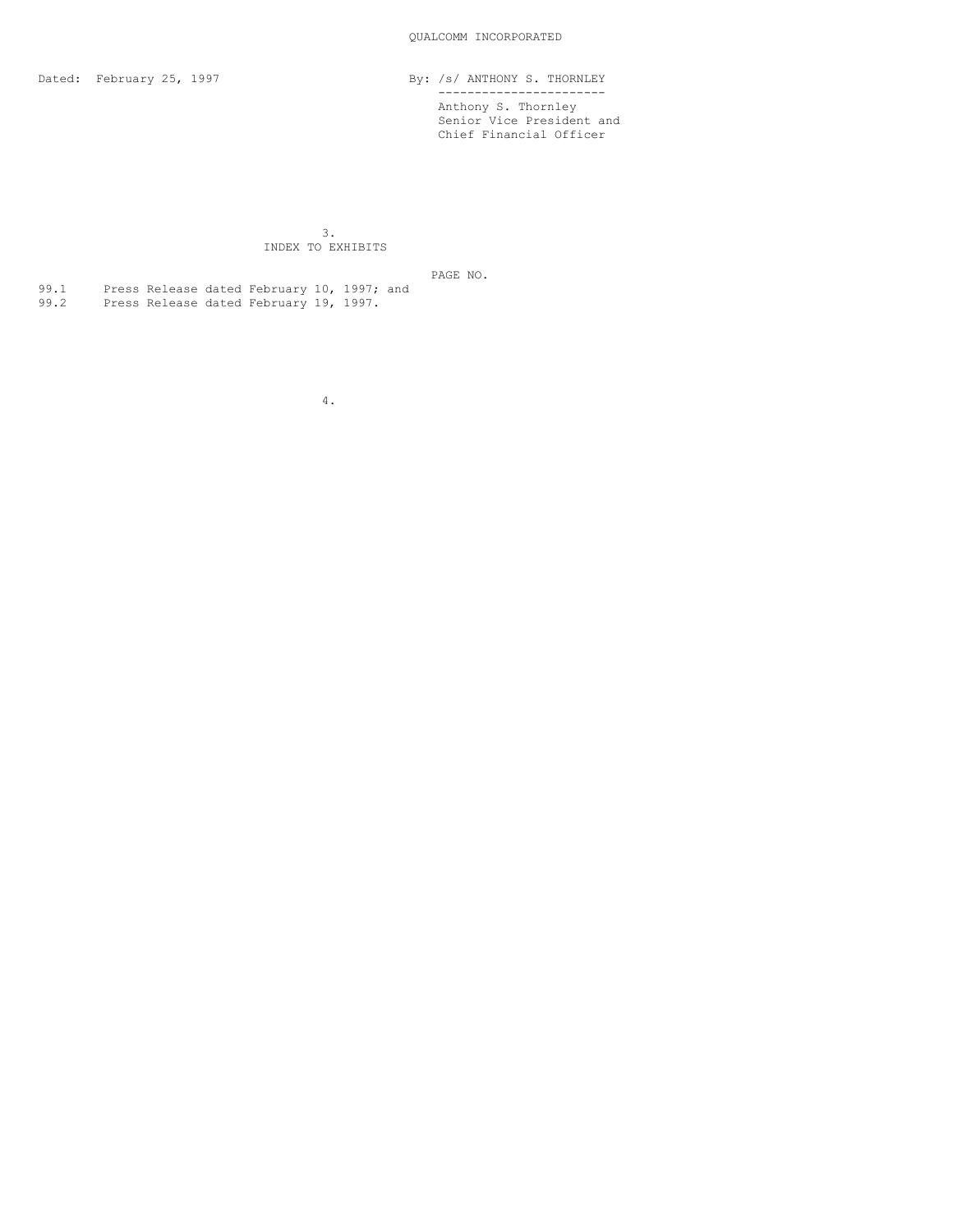Dated: February 25, 1997 **By:** /s/ ANTHONY S. THORNLEY ----------------------- Anthony S. Thornley Senior Vice President and Chief Financial Officer

> 3. INDEX TO EXHIBITS

> > PAGE NO.

99.1 Press Release dated February 10, 1997; and 99.2 Press Release dated February 19, 1997.

4.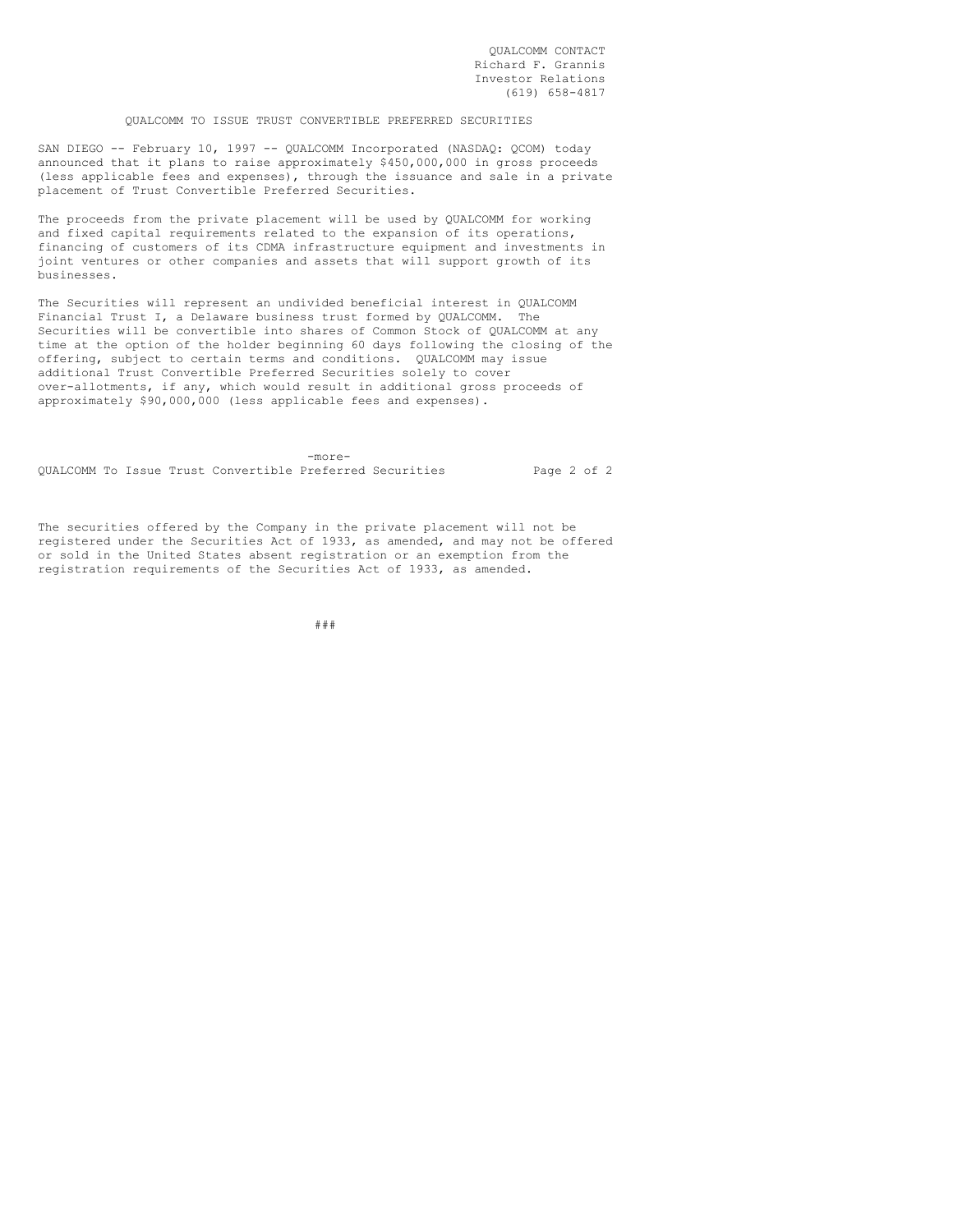QUALCOMM CONTACT Richard F. Grannis Investor Relations (619) 658-4817

## QUALCOMM TO ISSUE TRUST CONVERTIBLE PREFERRED SECURITIES

SAN DIEGO -- February 10, 1997 -- QUALCOMM Incorporated (NASDAQ: QCOM) today announced that it plans to raise approximately \$450,000,000 in gross proceeds (less applicable fees and expenses), through the issuance and sale in a private placement of Trust Convertible Preferred Securities.

The proceeds from the private placement will be used by QUALCOMM for working and fixed capital requirements related to the expansion of its operations, financing of customers of its CDMA infrastructure equipment and investments in joint ventures or other companies and assets that will support growth of its businesses.

The Securities will represent an undivided beneficial interest in QUALCOMM Financial Trust I, a Delaware business trust formed by QUALCOMM. The Securities will be convertible into shares of Common Stock of QUALCOMM at any time at the option of the holder beginning 60 days following the closing of the offering, subject to certain terms and conditions. QUALCOMM may issue additional Trust Convertible Preferred Securities solely to cover over-allotments, if any, which would result in additional gross proceeds of approximately \$90,000,000 (less applicable fees and expenses).

-more-QUALCOMM To Issue Trust Convertible Preferred Securities Page 2 of 2

The securities offered by the Company in the private placement will not be registered under the Securities Act of 1933, as amended, and may not be offered or sold in the United States absent registration or an exemption from the registration requirements of the Securities Act of 1933, as amended.

###